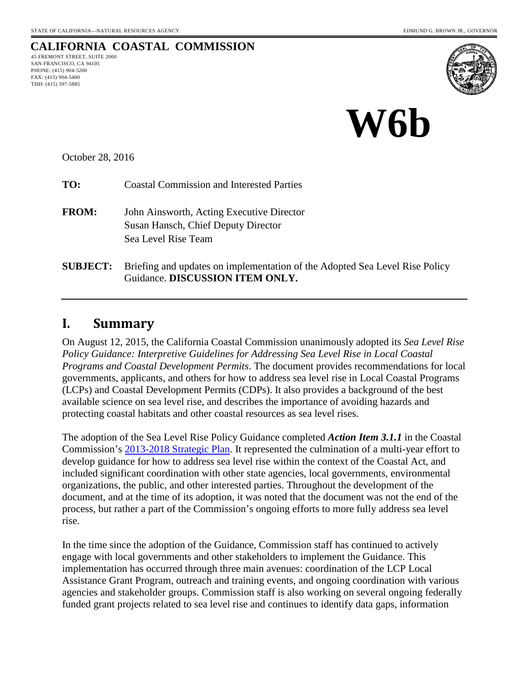### **CALIFORNIA COASTAL COMMISSION** 45 FREMONT STREET, SUITE 2000

SAN FRANCISCO, CA 94105 PHONE: (415) 904-5200 FAX: (415) 904-5400 TDD: (415) 597-5885





October 28, 2016

**TO:** Coastal Commission and Interested Parties

- **FROM:** John Ainsworth, Acting Executive Director Susan Hansch, Chief Deputy Director Sea Level Rise Team
- **SUBJECT:** Briefing and updates on implementation of the Adopted Sea Level Rise Policy Guidance. **DISCUSSION ITEM ONLY.**

### **I. Summary**

On August 12, 2015, the California Coastal Commission unanimously adopted its *Sea Level Rise Policy Guidance: Interpretive Guidelines for Addressing Sea Level Rise in Local Coastal Programs and Coastal Development Permits*. The document provides recommendations for local governments, applicants, and others for how to address sea level rise in Local Coastal Programs (LCPs) and Coastal Development Permits (CDPs). It also provides a background of the best available science on sea level rise, and describes the importance of avoiding hazards and protecting coastal habitats and other coastal resources as sea level rises.

The adoption of the Sea Level Rise Policy Guidance completed *Action Item 3.1.1* in the Coastal Commission's [2013-2018 Strategic Plan.](https://www.coastal.ca.gov/strategicplan/CCC_Final_StrategicPlan_2013-2018.pdf) It represented the culmination of a multi-year effort to develop guidance for how to address sea level rise within the context of the Coastal Act, and included significant coordination with other state agencies, local governments, environmental organizations, the public, and other interested parties. Throughout the development of the document, and at the time of its adoption, it was noted that the document was not the end of the process, but rather a part of the Commission's ongoing efforts to more fully address sea level rise.

In the time since the adoption of the Guidance, Commission staff has continued to actively engage with local governments and other stakeholders to implement the Guidance. This implementation has occurred through three main avenues: coordination of the LCP Local Assistance Grant Program, outreach and training events, and ongoing coordination with various agencies and stakeholder groups. Commission staff is also working on several ongoing federally funded grant projects related to sea level rise and continues to identify data gaps, information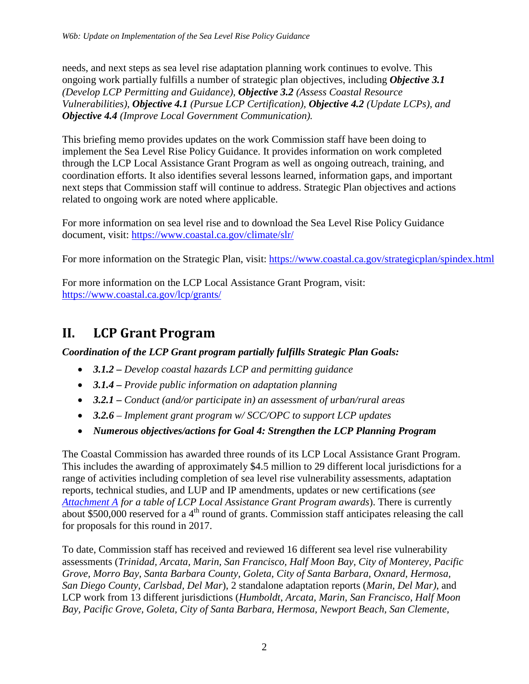needs, and next steps as sea level rise adaptation planning work continues to evolve. This ongoing work partially fulfills a number of strategic plan objectives, including *Objective 3.1 (Develop LCP Permitting and Guidance), Objective 3.2 (Assess Coastal Resource Vulnerabilities), Objective 4.1 (Pursue LCP Certification), Objective 4.2 (Update LCPs), and Objective 4.4 (Improve Local Government Communication).* 

This briefing memo provides updates on the work Commission staff have been doing to implement the Sea Level Rise Policy Guidance. It provides information on work completed through the LCP Local Assistance Grant Program as well as ongoing outreach, training, and coordination efforts. It also identifies several lessons learned, information gaps, and important next steps that Commission staff will continue to address. Strategic Plan objectives and actions related to ongoing work are noted where applicable.

For more information on sea level rise and to download the Sea Level Rise Policy Guidance document, visit:<https://www.coastal.ca.gov/climate/slr/>

For more information on the Strategic Plan, visit:<https://www.coastal.ca.gov/strategicplan/spindex.html>

For more information on the LCP Local Assistance Grant Program, visit: <https://www.coastal.ca.gov/lcp/grants/>

## **II. LCP Grant Program**

*Coordination of the LCP Grant program partially fulfills Strategic Plan Goals:* 

- *3.1.2 Develop coastal hazards LCP and permitting guidance*
- *3.1.4 Provide public information on adaptation planning*
- *3.2.1 Conduct (and/or participate in) an assessment of urban/rural areas*
- *3.2.6 Implement grant program w/ SCC/OPC to support LCP updates*
- *Numerous objectives/actions for Goal 4: Strengthen the LCP Planning Program*

The Coastal Commission has awarded three rounds of its LCP Local Assistance Grant Program. This includes the awarding of approximately \$4.5 million to 29 different local jurisdictions for a range of activities including completion of sea level rise vulnerability assessments, adaptation reports, technical studies, and LUP and IP amendments, updates or new certifications (*see [Attachment A](#page-12-0) for a table of LCP Local Assistance Grant Program awards*). There is currently about \$500,000 reserved for a 4<sup>th</sup> round of grants. Commission staff anticipates releasing the call for proposals for this round in 2017.

To date, Commission staff has received and reviewed 16 different sea level rise vulnerability assessments (*Trinidad, Arcata, Marin, San Francisco, Half Moon Bay, City of Monterey, Pacific Grove, Morro Bay, Santa Barbara County, Goleta, City of Santa Barbara, Oxnard, Hermosa, San Diego County, Carlsbad, Del Mar*), 2 standalone adaptation reports (*Marin, Del Mar)*, and LCP work from 13 different jurisdictions (*Humboldt, Arcata, Marin, San Francisco, Half Moon Bay, Pacific Grove, Goleta, City of Santa Barbara, Hermosa, Newport Beach, San Clemente,*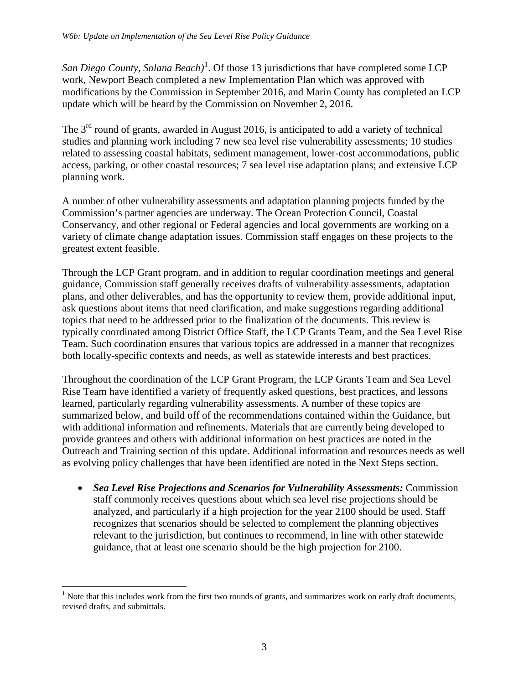San Diego County, Solana Beach)<sup>[1](#page-2-0)</sup>. Of those 13 jurisdictions that have completed some LCP work, Newport Beach completed a new Implementation Plan which was approved with modifications by the Commission in September 2016, and Marin County has completed an LCP update which will be heard by the Commission on November 2, 2016.

The  $3<sup>rd</sup>$  round of grants, awarded in August 2016, is anticipated to add a variety of technical studies and planning work including 7 new sea level rise vulnerability assessments; 10 studies related to assessing coastal habitats, sediment management, lower-cost accommodations, public access, parking, or other coastal resources; 7 sea level rise adaptation plans; and extensive LCP planning work.

A number of other vulnerability assessments and adaptation planning projects funded by the Commission's partner agencies are underway. The Ocean Protection Council, Coastal Conservancy, and other regional or Federal agencies and local governments are working on a variety of climate change adaptation issues. Commission staff engages on these projects to the greatest extent feasible.

Through the LCP Grant program, and in addition to regular coordination meetings and general guidance, Commission staff generally receives drafts of vulnerability assessments, adaptation plans, and other deliverables, and has the opportunity to review them, provide additional input, ask questions about items that need clarification, and make suggestions regarding additional topics that need to be addressed prior to the finalization of the documents. This review is typically coordinated among District Office Staff, the LCP Grants Team, and the Sea Level Rise Team. Such coordination ensures that various topics are addressed in a manner that recognizes both locally-specific contexts and needs, as well as statewide interests and best practices.

Throughout the coordination of the LCP Grant Program, the LCP Grants Team and Sea Level Rise Team have identified a variety of frequently asked questions, best practices, and lessons learned, particularly regarding vulnerability assessments. A number of these topics are summarized below, and build off of the recommendations contained within the Guidance, but with additional information and refinements. Materials that are currently being developed to provide grantees and others with additional information on best practices are noted in the Outreach and Training section of this update. Additional information and resources needs as well as evolving policy challenges that have been identified are noted in the Next Steps section.

• *Sea Level Rise Projections and Scenarios for Vulnerability Assessments:* Commission staff commonly receives questions about which sea level rise projections should be analyzed, and particularly if a high projection for the year 2100 should be used. Staff recognizes that scenarios should be selected to complement the planning objectives relevant to the jurisdiction, but continues to recommend, in line with other statewide guidance, that at least one scenario should be the high projection for 2100.

<span id="page-2-0"></span> $\overline{a}$ <sup>1</sup> Note that this includes work from the first two rounds of grants, and summarizes work on early draft documents, revised drafts, and submittals.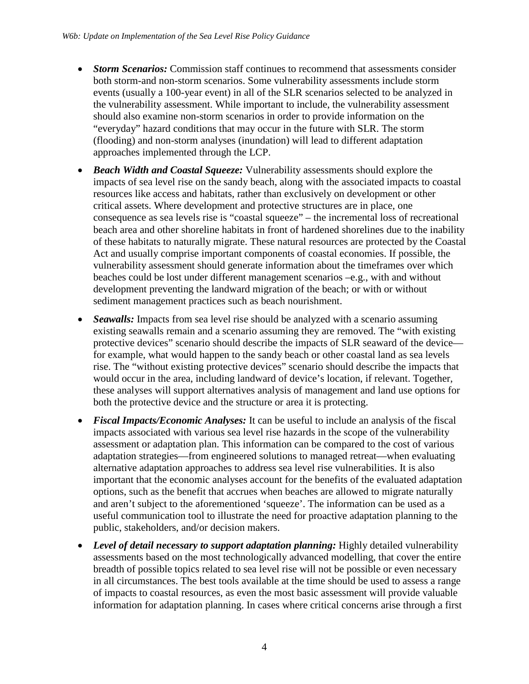- *Storm Scenarios:* Commission staff continues to recommend that assessments consider both storm-and non-storm scenarios. Some vulnerability assessments include storm events (usually a 100-year event) in all of the SLR scenarios selected to be analyzed in the vulnerability assessment. While important to include, the vulnerability assessment should also examine non-storm scenarios in order to provide information on the "everyday" hazard conditions that may occur in the future with SLR. The storm (flooding) and non-storm analyses (inundation) will lead to different adaptation approaches implemented through the LCP.
- *Beach Width and Coastal Squeeze:* Vulnerability assessments should explore the impacts of sea level rise on the sandy beach, along with the associated impacts to coastal resources like access and habitats, rather than exclusively on development or other critical assets. Where development and protective structures are in place, one consequence as sea levels rise is "coastal squeeze" – the incremental loss of recreational beach area and other shoreline habitats in front of hardened shorelines due to the inability of these habitats to naturally migrate. These natural resources are protected by the Coastal Act and usually comprise important components of coastal economies. If possible, the vulnerability assessment should generate information about the timeframes over which beaches could be lost under different management scenarios –e.g., with and without development preventing the landward migration of the beach; or with or without sediment management practices such as beach nourishment.
- *Seawalls:* Impacts from sea level rise should be analyzed with a scenario assuming existing seawalls remain and a scenario assuming they are removed. The "with existing protective devices" scenario should describe the impacts of SLR seaward of the device for example, what would happen to the sandy beach or other coastal land as sea levels rise. The "without existing protective devices" scenario should describe the impacts that would occur in the area, including landward of device's location, if relevant. Together, these analyses will support alternatives analysis of management and land use options for both the protective device and the structure or area it is protecting.
- *Fiscal Impacts/Economic Analyses:* It can be useful to include an analysis of the fiscal impacts associated with various sea level rise hazards in the scope of the vulnerability assessment or adaptation plan. This information can be compared to the cost of various adaptation strategies—from engineered solutions to managed retreat—when evaluating alternative adaptation approaches to address sea level rise vulnerabilities. It is also important that the economic analyses account for the benefits of the evaluated adaptation options, such as the benefit that accrues when beaches are allowed to migrate naturally and aren't subject to the aforementioned 'squeeze'. The information can be used as a useful communication tool to illustrate the need for proactive adaptation planning to the public, stakeholders, and/or decision makers.
- *Level of detail necessary to support adaptation planning:* Highly detailed vulnerability assessments based on the most technologically advanced modelling, that cover the entire breadth of possible topics related to sea level rise will not be possible or even necessary in all circumstances. The best tools available at the time should be used to assess a range of impacts to coastal resources, as even the most basic assessment will provide valuable information for adaptation planning. In cases where critical concerns arise through a first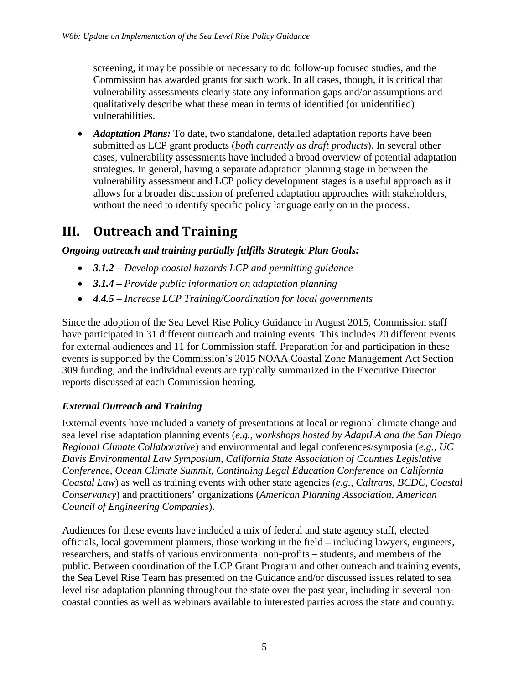screening, it may be possible or necessary to do follow-up focused studies, and the Commission has awarded grants for such work. In all cases, though, it is critical that vulnerability assessments clearly state any information gaps and/or assumptions and qualitatively describe what these mean in terms of identified (or unidentified) vulnerabilities.

• *Adaptation Plans:* To date, two standalone, detailed adaptation reports have been submitted as LCP grant products (*both currently as draft products*). In several other cases, vulnerability assessments have included a broad overview of potential adaptation strategies. In general, having a separate adaptation planning stage in between the vulnerability assessment and LCP policy development stages is a useful approach as it allows for a broader discussion of preferred adaptation approaches with stakeholders, without the need to identify specific policy language early on in the process.

# **III. Outreach and Training**

### *Ongoing outreach and training partially fulfills Strategic Plan Goals:*

- *3.1.2 Develop coastal hazards LCP and permitting guidance*
- *3.1.4 Provide public information on adaptation planning*
- *4.4.5 Increase LCP Training/Coordination for local governments*

Since the adoption of the Sea Level Rise Policy Guidance in August 2015, Commission staff have participated in 31 different outreach and training events. This includes 20 different events for external audiences and 11 for Commission staff. Preparation for and participation in these events is supported by the Commission's 2015 NOAA Coastal Zone Management Act Section 309 funding, and the individual events are typically summarized in the Executive Director reports discussed at each Commission hearing.

### *External Outreach and Training*

External events have included a variety of presentations at local or regional climate change and sea level rise adaptation planning events (*e.g., workshops hosted by AdaptLA and the San Diego Regional Climate Collaborative*) and environmental and legal conferences/symposia (*e.g., UC Davis Environmental Law Symposium, California State Association of Counties Legislative Conference, Ocean Climate Summit, Continuing Legal Education Conference on California Coastal Law*) as well as training events with other state agencies (*e.g., Caltrans, BCDC, Coastal Conservancy*) and practitioners' organizations (*American Planning Association, American Council of Engineering Companies*).

Audiences for these events have included a mix of federal and state agency staff, elected officials, local government planners, those working in the field – including lawyers, engineers, researchers, and staffs of various environmental non-profits – students, and members of the public. Between coordination of the LCP Grant Program and other outreach and training events, the Sea Level Rise Team has presented on the Guidance and/or discussed issues related to sea level rise adaptation planning throughout the state over the past year, including in several noncoastal counties as well as webinars available to interested parties across the state and country.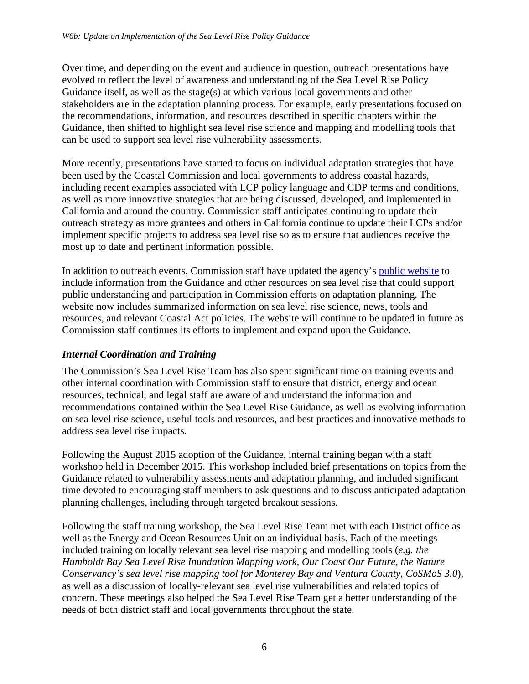Over time, and depending on the event and audience in question, outreach presentations have evolved to reflect the level of awareness and understanding of the Sea Level Rise Policy Guidance itself, as well as the stage(s) at which various local governments and other stakeholders are in the adaptation planning process. For example, early presentations focused on the recommendations, information, and resources described in specific chapters within the Guidance, then shifted to highlight sea level rise science and mapping and modelling tools that can be used to support sea level rise vulnerability assessments.

More recently, presentations have started to focus on individual adaptation strategies that have been used by the Coastal Commission and local governments to address coastal hazards, including recent examples associated with LCP policy language and CDP terms and conditions, as well as more innovative strategies that are being discussed, developed, and implemented in California and around the country. Commission staff anticipates continuing to update their outreach strategy as more grantees and others in California continue to update their LCPs and/or implement specific projects to address sea level rise so as to ensure that audiences receive the most up to date and pertinent information possible.

In addition to outreach events, Commission staff have updated the agency's [public website](https://www.coastal.ca.gov/) to include information from the Guidance and other resources on sea level rise that could support public understanding and participation in Commission efforts on adaptation planning. The website now includes summarized information on sea level rise science, news, tools and resources, and relevant Coastal Act policies. The website will continue to be updated in future as Commission staff continues its efforts to implement and expand upon the Guidance.

### *Internal Coordination and Training*

The Commission's Sea Level Rise Team has also spent significant time on training events and other internal coordination with Commission staff to ensure that district, energy and ocean resources, technical, and legal staff are aware of and understand the information and recommendations contained within the Sea Level Rise Guidance, as well as evolving information on sea level rise science, useful tools and resources, and best practices and innovative methods to address sea level rise impacts.

Following the August 2015 adoption of the Guidance, internal training began with a staff workshop held in December 2015. This workshop included brief presentations on topics from the Guidance related to vulnerability assessments and adaptation planning, and included significant time devoted to encouraging staff members to ask questions and to discuss anticipated adaptation planning challenges, including through targeted breakout sessions.

Following the staff training workshop, the Sea Level Rise Team met with each District office as well as the Energy and Ocean Resources Unit on an individual basis. Each of the meetings included training on locally relevant sea level rise mapping and modelling tools (*e.g. the Humboldt Bay Sea Level Rise Inundation Mapping work, Our Coast Our Future, the Nature Conservancy's sea level rise mapping tool for Monterey Bay and Ventura County, CoSMoS 3.0*), as well as a discussion of locally-relevant sea level rise vulnerabilities and related topics of concern. These meetings also helped the Sea Level Rise Team get a better understanding of the needs of both district staff and local governments throughout the state.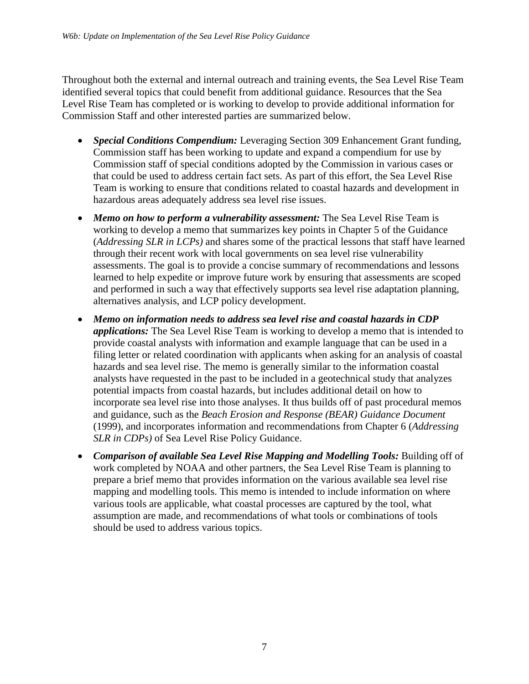Throughout both the external and internal outreach and training events, the Sea Level Rise Team identified several topics that could benefit from additional guidance. Resources that the Sea Level Rise Team has completed or is working to develop to provide additional information for Commission Staff and other interested parties are summarized below.

- *Special Conditions Compendium:* Leveraging Section 309 Enhancement Grant funding, Commission staff has been working to update and expand a compendium for use by Commission staff of special conditions adopted by the Commission in various cases or that could be used to address certain fact sets. As part of this effort, the Sea Level Rise Team is working to ensure that conditions related to coastal hazards and development in hazardous areas adequately address sea level rise issues.
- *Memo on how to perform a vulnerability assessment:* The Sea Level Rise Team is working to develop a memo that summarizes key points in Chapter 5 of the Guidance (*Addressing SLR in LCPs)* and shares some of the practical lessons that staff have learned through their recent work with local governments on sea level rise vulnerability assessments. The goal is to provide a concise summary of recommendations and lessons learned to help expedite or improve future work by ensuring that assessments are scoped and performed in such a way that effectively supports sea level rise adaptation planning, alternatives analysis, and LCP policy development.
- *Memo on information needs to address sea level rise and coastal hazards in CDP applications:* The Sea Level Rise Team is working to develop a memo that is intended to provide coastal analysts with information and example language that can be used in a filing letter or related coordination with applicants when asking for an analysis of coastal hazards and sea level rise. The memo is generally similar to the information coastal analysts have requested in the past to be included in a geotechnical study that analyzes potential impacts from coastal hazards, but includes additional detail on how to incorporate sea level rise into those analyses. It thus builds off of past procedural memos and guidance, such as the *Beach Erosion and Response (BEAR) Guidance Document*  (1999), and incorporates information and recommendations from Chapter 6 (*Addressing SLR in CDPs)* of Sea Level Rise Policy Guidance.
- *Comparison of available Sea Level Rise Mapping and Modelling Tools: Building off of* work completed by NOAA and other partners, the Sea Level Rise Team is planning to prepare a brief memo that provides information on the various available sea level rise mapping and modelling tools. This memo is intended to include information on where various tools are applicable, what coastal processes are captured by the tool, what assumption are made, and recommendations of what tools or combinations of tools should be used to address various topics.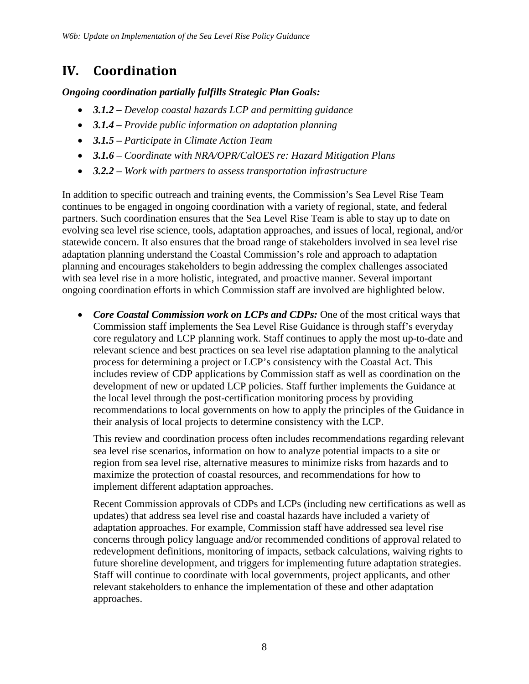# **IV. Coordination**

*Ongoing coordination partially fulfills Strategic Plan Goals:* 

- *3.1.2 Develop coastal hazards LCP and permitting guidance*
- *3.1.4 Provide public information on adaptation planning*
- *3.1.5**Participate in Climate Action Team*
- *3.1.6 Coordinate with NRA/OPR/CalOES re: Hazard Mitigation Plans*
- *3.2.2 Work with partners to assess transportation infrastructure*

In addition to specific outreach and training events, the Commission's Sea Level Rise Team continues to be engaged in ongoing coordination with a variety of regional, state, and federal partners. Such coordination ensures that the Sea Level Rise Team is able to stay up to date on evolving sea level rise science, tools, adaptation approaches, and issues of local, regional, and/or statewide concern. It also ensures that the broad range of stakeholders involved in sea level rise adaptation planning understand the Coastal Commission's role and approach to adaptation planning and encourages stakeholders to begin addressing the complex challenges associated with sea level rise in a more holistic, integrated, and proactive manner. Several important ongoing coordination efforts in which Commission staff are involved are highlighted below.

• *Core Coastal Commission work on LCPs and CDPs:* One of the most critical ways that Commission staff implements the Sea Level Rise Guidance is through staff's everyday core regulatory and LCP planning work. Staff continues to apply the most up-to-date and relevant science and best practices on sea level rise adaptation planning to the analytical process for determining a project or LCP's consistency with the Coastal Act. This includes review of CDP applications by Commission staff as well as coordination on the development of new or updated LCP policies. Staff further implements the Guidance at the local level through the post-certification monitoring process by providing recommendations to local governments on how to apply the principles of the Guidance in their analysis of local projects to determine consistency with the LCP.

This review and coordination process often includes recommendations regarding relevant sea level rise scenarios, information on how to analyze potential impacts to a site or region from sea level rise, alternative measures to minimize risks from hazards and to maximize the protection of coastal resources, and recommendations for how to implement different adaptation approaches.

Recent Commission approvals of CDPs and LCPs (including new certifications as well as updates) that address sea level rise and coastal hazards have included a variety of adaptation approaches. For example, Commission staff have addressed sea level rise concerns through policy language and/or recommended conditions of approval related to redevelopment definitions, monitoring of impacts, setback calculations, waiving rights to future shoreline development, and triggers for implementing future adaptation strategies. Staff will continue to coordinate with local governments, project applicants, and other relevant stakeholders to enhance the implementation of these and other adaptation approaches.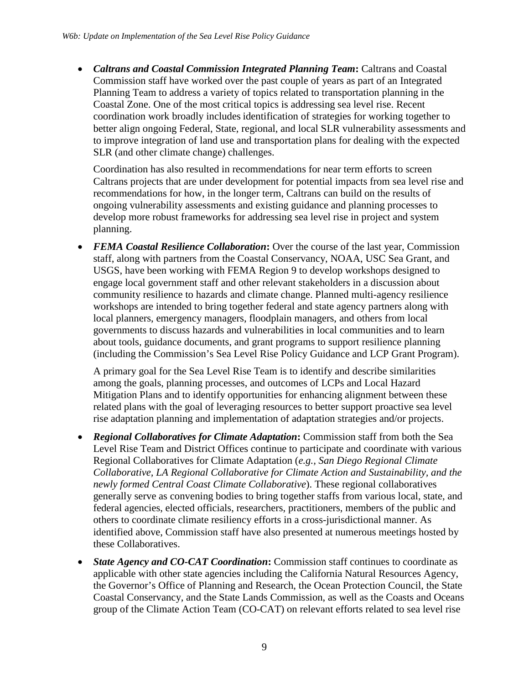• *Caltrans and Coastal Commission Integrated Planning Team***:** Caltrans and Coastal Commission staff have worked over the past couple of years as part of an Integrated Planning Team to address a variety of topics related to transportation planning in the Coastal Zone. One of the most critical topics is addressing sea level rise. Recent coordination work broadly includes identification of strategies for working together to better align ongoing Federal, State, regional, and local SLR vulnerability assessments and to improve integration of land use and transportation plans for dealing with the expected SLR (and other climate change) challenges.

Coordination has also resulted in recommendations for near term efforts to screen Caltrans projects that are under development for potential impacts from sea level rise and recommendations for how, in the longer term, Caltrans can build on the results of ongoing vulnerability assessments and existing guidance and planning processes to develop more robust frameworks for addressing sea level rise in project and system planning.

• *FEMA Coastal Resilience Collaboration***:** Over the course of the last year, Commission staff, along with partners from the Coastal Conservancy, NOAA, USC Sea Grant, and USGS, have been working with FEMA Region 9 to develop workshops designed to engage local government staff and other relevant stakeholders in a discussion about community resilience to hazards and climate change. Planned multi-agency resilience workshops are intended to bring together federal and state agency partners along with local planners, emergency managers, floodplain managers, and others from local governments to discuss hazards and vulnerabilities in local communities and to learn about tools, guidance documents, and grant programs to support resilience planning (including the Commission's Sea Level Rise Policy Guidance and LCP Grant Program).

A primary goal for the Sea Level Rise Team is to identify and describe similarities among the goals, planning processes, and outcomes of LCPs and Local Hazard Mitigation Plans and to identify opportunities for enhancing alignment between these related plans with the goal of leveraging resources to better support proactive sea level rise adaptation planning and implementation of adaptation strategies and/or projects.

- *Regional Collaboratives for Climate Adaptation***:** Commission staff from both the Sea Level Rise Team and District Offices continue to participate and coordinate with various Regional Collaboratives for Climate Adaptation (*e.g., San Diego Regional Climate Collaborative, LA Regional Collaborative for Climate Action and Sustainability, and the newly formed Central Coast Climate Collaborative*). These regional collaboratives generally serve as convening bodies to bring together staffs from various local, state, and federal agencies, elected officials, researchers, practitioners, members of the public and others to coordinate climate resiliency efforts in a cross-jurisdictional manner. As identified above, Commission staff have also presented at numerous meetings hosted by these Collaboratives.
- *State Agency and CO-CAT Coordination***:** Commission staff continues to coordinate as applicable with other state agencies including the California Natural Resources Agency, the Governor's Office of Planning and Research, the Ocean Protection Council, the State Coastal Conservancy, and the State Lands Commission, as well as the Coasts and Oceans group of the Climate Action Team (CO-CAT) on relevant efforts related to sea level rise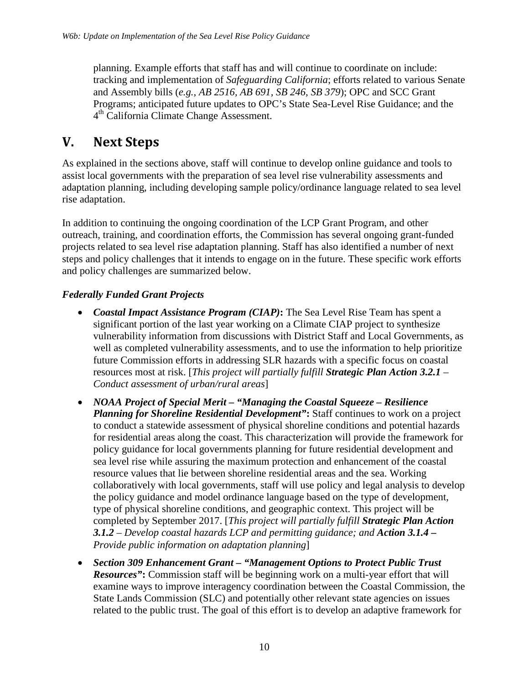planning. Example efforts that staff has and will continue to coordinate on include: tracking and implementation of *Safeguarding California*; efforts related to various Senate and Assembly bills (*e.g., AB 2516, AB 691, SB 246, SB 379*); OPC and SCC Grant Programs; anticipated future updates to OPC's State Sea-Level Rise Guidance; and the 4<sup>th</sup> California Climate Change Assessment.

## **V. Next Steps**

As explained in the sections above, staff will continue to develop online guidance and tools to assist local governments with the preparation of sea level rise vulnerability assessments and adaptation planning, including developing sample policy/ordinance language related to sea level rise adaptation.

In addition to continuing the ongoing coordination of the LCP Grant Program, and other outreach, training, and coordination efforts, the Commission has several ongoing grant-funded projects related to sea level rise adaptation planning. Staff has also identified a number of next steps and policy challenges that it intends to engage on in the future. These specific work efforts and policy challenges are summarized below.

### *Federally Funded Grant Projects*

- *Coastal Impact Assistance Program (CIAP)***:** The Sea Level Rise Team has spent a significant portion of the last year working on a Climate CIAP project to synthesize vulnerability information from discussions with District Staff and Local Governments, as well as completed vulnerability assessments, and to use the information to help prioritize future Commission efforts in addressing SLR hazards with a specific focus on coastal resources most at risk. [*This project will partially fulfill Strategic Plan Action 3.2.1 – Conduct assessment of urban/rural areas*]
- *NOAA Project of Special Merit "Managing the Coastal Squeeze Resilience Planning for Shoreline Residential Development"***:** Staff continues to work on a project to conduct a statewide assessment of physical shoreline conditions and potential hazards for residential areas along the coast. This characterization will provide the framework for policy guidance for local governments planning for future residential development and sea level rise while assuring the maximum protection and enhancement of the coastal resource values that lie between shoreline residential areas and the sea. Working collaboratively with local governments, staff will use policy and legal analysis to develop the policy guidance and model ordinance language based on the type of development, type of physical shoreline conditions, and geographic context. This project will be completed by September 2017. [*This project will partially fulfill Strategic Plan Action 3.1.2 – Develop coastal hazards LCP and permitting guidance; and Action 3.1.4 – Provide public information on adaptation planning*]
- *Section 309 Enhancement Grant "Management Options to Protect Public Trust Resources"***:** Commission staff will be beginning work on a multi-year effort that will examine ways to improve interagency coordination between the Coastal Commission, the State Lands Commission (SLC) and potentially other relevant state agencies on issues related to the public trust. The goal of this effort is to develop an adaptive framework for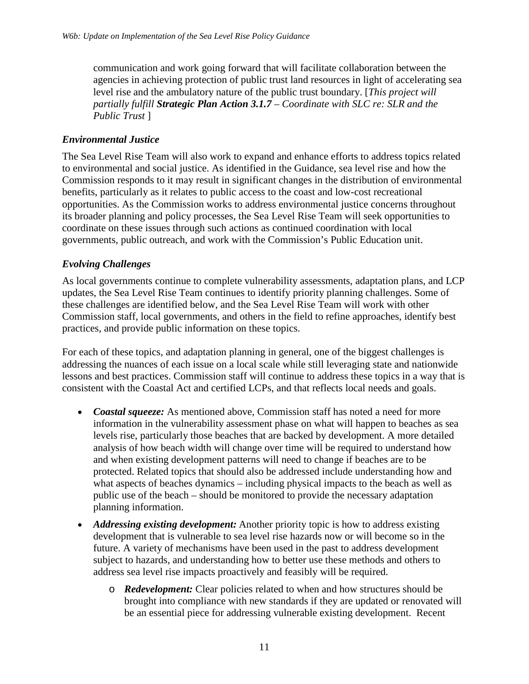communication and work going forward that will facilitate collaboration between the agencies in achieving protection of public trust land resources in light of accelerating sea level rise and the ambulatory nature of the public trust boundary. [*This project will partially fulfill Strategic Plan Action 3.1.7 – Coordinate with SLC re: SLR and the Public Trust* ]

#### *Environmental Justice*

The Sea Level Rise Team will also work to expand and enhance efforts to address topics related to environmental and social justice. As identified in the Guidance, sea level rise and how the Commission responds to it may result in significant changes in the distribution of environmental benefits, particularly as it relates to public access to the coast and low-cost recreational opportunities. As the Commission works to address environmental justice concerns throughout its broader planning and policy processes, the Sea Level Rise Team will seek opportunities to coordinate on these issues through such actions as continued coordination with local governments, public outreach, and work with the Commission's Public Education unit.

#### *Evolving Challenges*

As local governments continue to complete vulnerability assessments, adaptation plans, and LCP updates, the Sea Level Rise Team continues to identify priority planning challenges. Some of these challenges are identified below, and the Sea Level Rise Team will work with other Commission staff, local governments, and others in the field to refine approaches, identify best practices, and provide public information on these topics.

For each of these topics, and adaptation planning in general, one of the biggest challenges is addressing the nuances of each issue on a local scale while still leveraging state and nationwide lessons and best practices. Commission staff will continue to address these topics in a way that is consistent with the Coastal Act and certified LCPs, and that reflects local needs and goals.

- *Coastal squeeze:* As mentioned above, Commission staff has noted a need for more information in the vulnerability assessment phase on what will happen to beaches as sea levels rise, particularly those beaches that are backed by development. A more detailed analysis of how beach width will change over time will be required to understand how and when existing development patterns will need to change if beaches are to be protected. Related topics that should also be addressed include understanding how and what aspects of beaches dynamics – including physical impacts to the beach as well as public use of the beach – should be monitored to provide the necessary adaptation planning information.
- *Addressing existing development:* Another priority topic is how to address existing development that is vulnerable to sea level rise hazards now or will become so in the future. A variety of mechanisms have been used in the past to address development subject to hazards, and understanding how to better use these methods and others to address sea level rise impacts proactively and feasibly will be required.
	- o *Redevelopment:* Clear policies related to when and how structures should be brought into compliance with new standards if they are updated or renovated will be an essential piece for addressing vulnerable existing development. Recent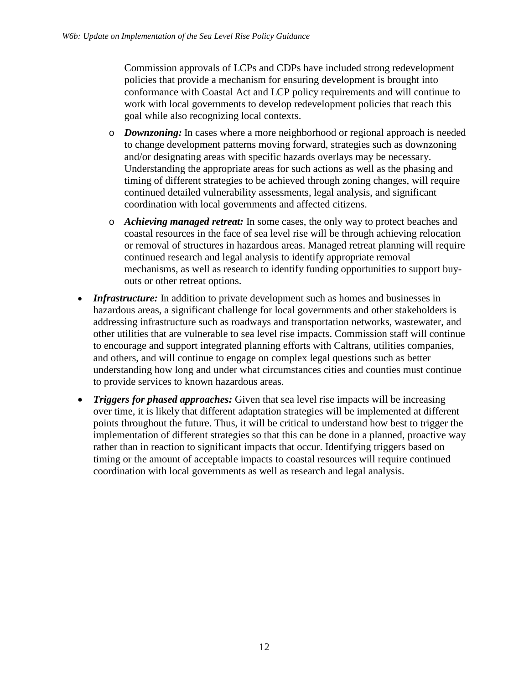Commission approvals of LCPs and CDPs have included strong redevelopment policies that provide a mechanism for ensuring development is brought into conformance with Coastal Act and LCP policy requirements and will continue to work with local governments to develop redevelopment policies that reach this goal while also recognizing local contexts.

- o *Downzoning:* In cases where a more neighborhood or regional approach is needed to change development patterns moving forward, strategies such as downzoning and/or designating areas with specific hazards overlays may be necessary. Understanding the appropriate areas for such actions as well as the phasing and timing of different strategies to be achieved through zoning changes, will require continued detailed vulnerability assessments, legal analysis, and significant coordination with local governments and affected citizens.
- o *Achieving managed retreat:* In some cases, the only way to protect beaches and coastal resources in the face of sea level rise will be through achieving relocation or removal of structures in hazardous areas. Managed retreat planning will require continued research and legal analysis to identify appropriate removal mechanisms, as well as research to identify funding opportunities to support buyouts or other retreat options.
- *Infrastructure:* In addition to private development such as homes and businesses in hazardous areas, a significant challenge for local governments and other stakeholders is addressing infrastructure such as roadways and transportation networks, wastewater, and other utilities that are vulnerable to sea level rise impacts. Commission staff will continue to encourage and support integrated planning efforts with Caltrans, utilities companies, and others, and will continue to engage on complex legal questions such as better understanding how long and under what circumstances cities and counties must continue to provide services to known hazardous areas.
- *Triggers for phased approaches:* Given that sea level rise impacts will be increasing over time, it is likely that different adaptation strategies will be implemented at different points throughout the future. Thus, it will be critical to understand how best to trigger the implementation of different strategies so that this can be done in a planned, proactive way rather than in reaction to significant impacts that occur. Identifying triggers based on timing or the amount of acceptable impacts to coastal resources will require continued coordination with local governments as well as research and legal analysis.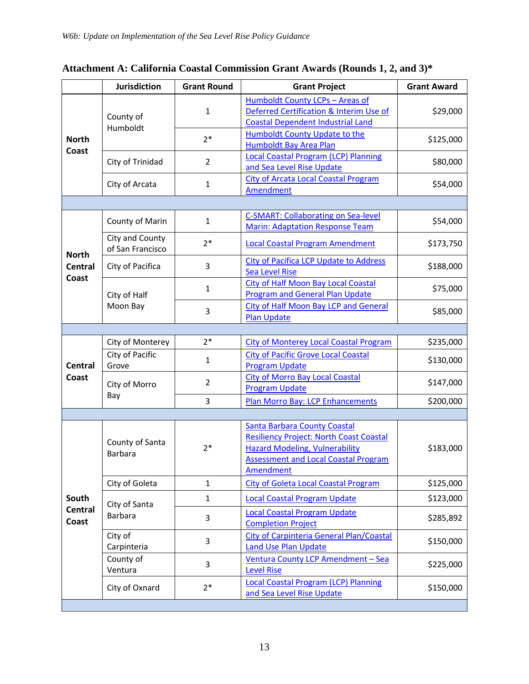|                                         | <b>Jurisdiction</b>                 | <b>Grant Round</b> | <b>Grant Project</b>                                                                                                                                                                       | <b>Grant Award</b> |  |  |  |
|-----------------------------------------|-------------------------------------|--------------------|--------------------------------------------------------------------------------------------------------------------------------------------------------------------------------------------|--------------------|--|--|--|
| <b>North</b><br>Coast                   | County of<br>Humboldt               | 1                  | Humboldt County LCPs - Areas of<br>Deferred Certification & Interim Use of<br><b>Coastal Dependent Industrial Land</b>                                                                     | \$29,000           |  |  |  |
|                                         |                                     | $2*$               | Humboldt County Update to the<br><b>Humboldt Bay Area Plan</b>                                                                                                                             | \$125,000          |  |  |  |
|                                         | City of Trinidad                    | $\overline{2}$     | <b>Local Coastal Program (LCP) Planning</b><br>and Sea Level Rise Update                                                                                                                   | \$80,000           |  |  |  |
|                                         | City of Arcata                      | $\mathbf{1}$       | <b>City of Arcata Local Coastal Program</b><br>Amendment                                                                                                                                   | \$54,000           |  |  |  |
|                                         |                                     |                    |                                                                                                                                                                                            |                    |  |  |  |
| <b>North</b><br><b>Central</b><br>Coast | County of Marin                     | $\mathbf{1}$       | <b>C-SMART: Collaborating on Sea-level</b><br><b>Marin: Adaptation Response Team</b>                                                                                                       | \$54,000           |  |  |  |
|                                         | City and County<br>of San Francisco | $2*$               | <b>Local Coastal Program Amendment</b>                                                                                                                                                     | \$173,750          |  |  |  |
|                                         | City of Pacifica                    | 3                  | City of Pacifica LCP Update to Address<br><b>Sea Level Rise</b>                                                                                                                            | \$188,000          |  |  |  |
|                                         | City of Half<br>Moon Bay            | $\mathbf{1}$       | <b>City of Half Moon Bay Local Coastal</b><br><b>Program and General Plan Update</b>                                                                                                       | \$75,000           |  |  |  |
|                                         |                                     | 3                  | City of Half Moon Bay LCP and General<br><b>Plan Update</b>                                                                                                                                | \$85,000           |  |  |  |
|                                         |                                     |                    |                                                                                                                                                                                            |                    |  |  |  |
|                                         | City of Monterey                    | $2*$               | <b>City of Monterey Local Coastal Program</b>                                                                                                                                              | \$235,000          |  |  |  |
| <b>Central</b><br>Coast                 | City of Pacific<br>Grove            | 1                  | <b>City of Pacific Grove Local Coastal</b><br><b>Program Update</b>                                                                                                                        | \$130,000          |  |  |  |
|                                         | City of Morro<br>Bay                | $\overline{2}$     | <b>City of Morro Bay Local Coastal</b><br><b>Program Update</b>                                                                                                                            | \$147,000          |  |  |  |
|                                         |                                     | 3                  | Plan Morro Bay: LCP Enhancements                                                                                                                                                           | \$200,000          |  |  |  |
|                                         |                                     |                    |                                                                                                                                                                                            |                    |  |  |  |
| South<br><b>Central</b><br>Coast        | County of Santa<br><b>Barbara</b>   | $2*$               | <b>Santa Barbara County Coastal</b><br><b>Resiliency Project: North Coast Coastal</b><br><b>Hazard Modeling, Vulnerability</b><br><b>Assessment and Local Coastal Program</b><br>Amendment | \$183,000          |  |  |  |
|                                         | City of Goleta                      | $\mathbf{1}$       | <b>City of Goleta Local Coastal Program</b>                                                                                                                                                | \$125,000          |  |  |  |
|                                         | City of Santa<br><b>Barbara</b>     | $\mathbf{1}$       | <b>Local Coastal Program Update</b>                                                                                                                                                        | \$123,000          |  |  |  |
|                                         |                                     | 3                  | <b>Local Coastal Program Update</b><br><b>Completion Project</b>                                                                                                                           | \$285,892          |  |  |  |
|                                         | City of<br>Carpinteria              | 3                  | <b>City of Carpinteria General Plan/Coastal</b><br><b>Land Use Plan Update</b>                                                                                                             | \$150,000          |  |  |  |
|                                         | County of<br>Ventura                | 3                  | Ventura County LCP Amendment - Sea<br><b>Level Rise</b>                                                                                                                                    | \$225,000          |  |  |  |
|                                         | City of Oxnard                      | $2*$               | <b>Local Coastal Program (LCP) Planning</b><br>and Sea Level Rise Update                                                                                                                   | \$150,000          |  |  |  |
|                                         |                                     |                    |                                                                                                                                                                                            |                    |  |  |  |

### <span id="page-12-0"></span>**Attachment A: California Coastal Commission Grant Awards (Rounds 1, 2, and 3)\***